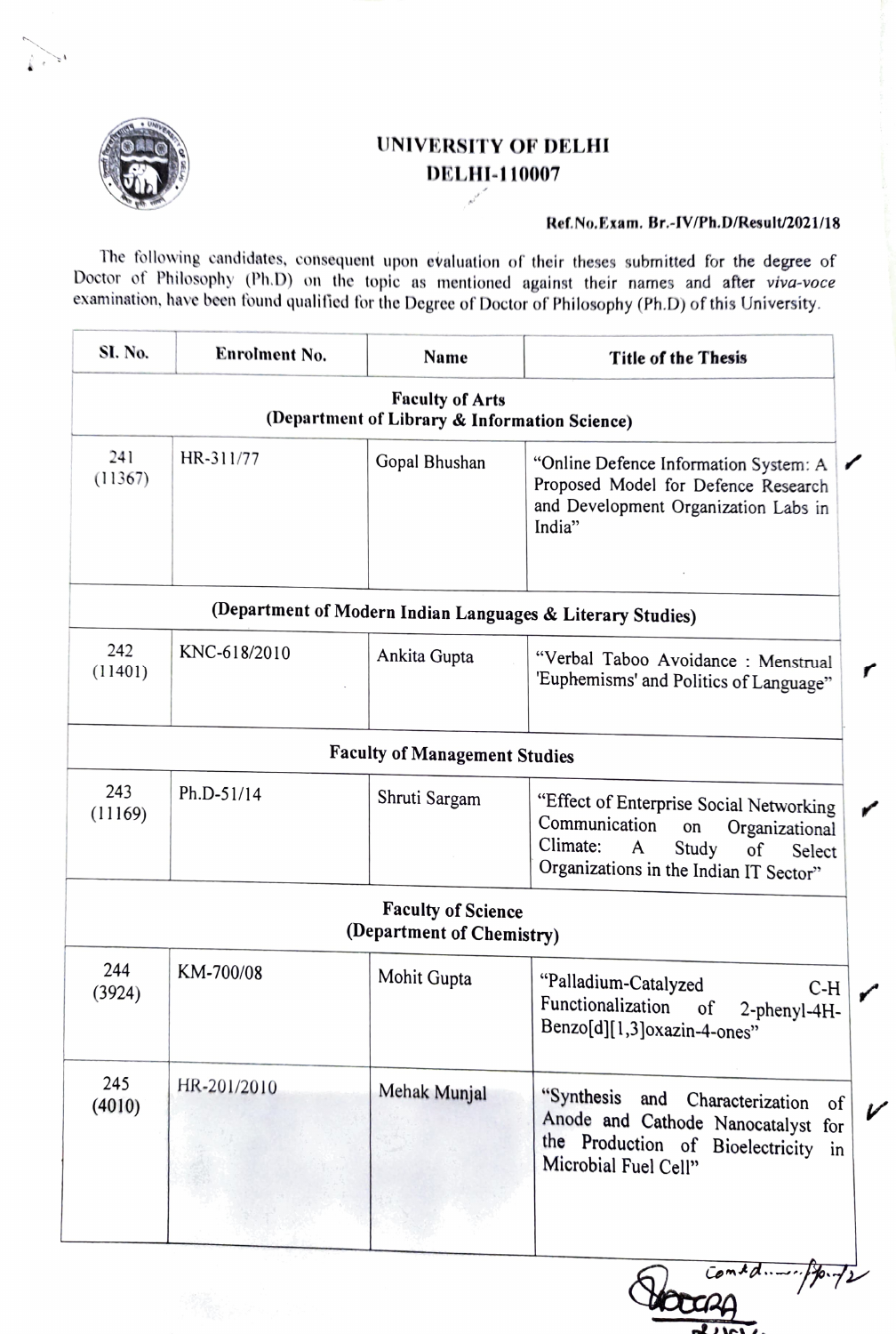

## UNIVERSITY OF DELHI DELHI-110007 mi<sup>re</sup>

## Ref.No.Exam. Br.-IV/Ph.D/Result/2021/18

The following candidates, consequent upon evaluation of their theses submitted for the degree of Doctor of Philosophy (Ph.D) on the topic as mentioned against their names and after viva-voce examination, have been found qualified for the Degree of Doctor of Philosophy (Ph.D) of this University

| SI. No.        | Enrolment No. | <b>Name</b>                                                             | <b>Title of the Thesis</b>                                                                                                                                           |
|----------------|---------------|-------------------------------------------------------------------------|----------------------------------------------------------------------------------------------------------------------------------------------------------------------|
|                |               | <b>Faculty of Arts</b><br>(Department of Library & Information Science) |                                                                                                                                                                      |
| 241<br>(11367) | HR-311/77     | Gopal Bhushan                                                           | "Online Defence Information System: A<br>Proposed Model for Defence Research<br>and Development Organization Labs in<br>India"                                       |
|                |               |                                                                         | (Department of Modern Indian Languages & Literary Studies)                                                                                                           |
| 242<br>(11401) | KNC-618/2010  | Ankita Gupta                                                            | "Verbal Taboo Avoidance : Menstrual<br>'Euphemisms' and Politics of Language"                                                                                        |
|                |               | <b>Faculty of Management Studies</b>                                    |                                                                                                                                                                      |
| 243<br>(11169) | Ph.D-51/14    | Shruti Sargam                                                           | "Effect of Enterprise Social Networking<br>Communication<br>on<br>Organizational<br>Climate:<br>A<br>Study<br>of<br>Select<br>Organizations in the Indian IT Sector" |
|                |               | <b>Faculty of Science</b><br>(Department of Chemistry)                  |                                                                                                                                                                      |
| 244<br>(3924)  | KM-700/08     | Mohit Gupta                                                             | "Palladium-Catalyzed<br>$C-H$<br>Functionalization<br>of<br>2-phenyl-4H-<br>Benzo[d][1,3]oxazin-4-ones"                                                              |
| 245<br>(4010)  | HR-201/2010   | Mehak Munjal                                                            | "Synthesis<br>and<br>Characterization<br>of<br>Anode and Cathode Nanocatalyst<br>for<br>the Production of Bioelectricity<br>in<br>Microbial Fuel Cell"               |